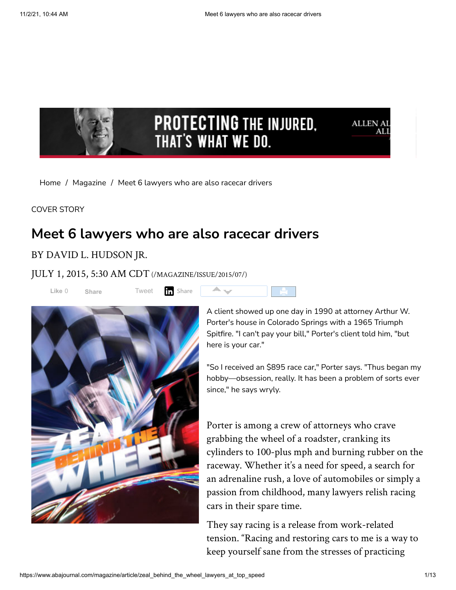

 $\blacktriangle$   $\blacktriangledown$ 

[Home](https://www.abajournal.com/) / [Magazine](https://www.abajournal.com/magazine/) / Meet 6 lawyers who are also racecar drivers

COVER STORY

# **Meet 6 lawyers who are also racecar drivers**

#### BY DAVID L. HUDSON JR.

JULY 1, 2015, 5:30 AM CDT[\(/MAGAZINE/ISSUE/2015/07/\)](https://www.abajournal.com/magazine/issue/2015/07/)

**Like** 0 **[Share](https://www.facebook.com/sharer/sharer.php?u=https%3A%2F%2Fwww.abajournal.com%2Fmagazine%2Farticle%2Fzeal_behind_the_wheel_lawyers_at_top_speed&display=popup&ref=plugin&src=like&kid_directed_site=0&app_id=250025978358202)** [Tweet](https://twitter.com/intent/tweet?original_referer=https%3A%2F%2Fwww.abajournal.com%2F&ref_src=twsrc%5Etfw%7Ctwcamp%5Ebuttonembed%7Ctwterm%5Eshare%7Ctwgr%5E&text=Meet%206%20lawyers%20who%20are%20also%20racecar%20drivers&url=https%3A%2F%2Fwww.abajournal.com%2Fmagazine%2Farticle%2Fzeal_behind_the_wheel_lawyers_at_top_speed&via=ABAJournal) **The Share** 



A client showed up one day in 1990 at attorney Arthur W. Porter's house in Colorado Springs with a 1965 Triumph Spitfire. "I can't pay your bill," Porter's client told him, "but here is your car."

"So I received an \$895 race car," Porter says. "Thus began my hobby—obsession, really. It has been a problem of sorts ever since," he says wryly.

Porter is among a crew of attorneys who crave grabbing the wheel of a roadster, cranking its cylinders to 100-plus mph and burning rubber on the raceway. Whether it's a need for speed, a search for an adrenaline rush, a love of automobiles or simply a passion from childhood, many lawyers relish racing cars in their spare time.

They say racing is a release from work-related tension. "Racing and restoring cars to me is a way to keep yourself sane from the stresses of practicing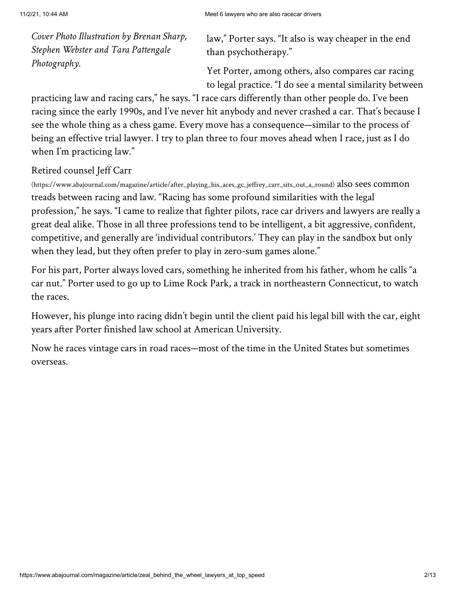*Cover Photo Illustration by Brenan Sharp, Stephen Webster and Tara Pattengale Photography.*

law," Porter says. "It also is way cheaper in the end than psychotherapy."

Yet Porter, among others, also compares car racing to legal practice. "I do see a mental similarity between

practicing law and racing cars," he says. "I race cars differently than other people do. I've been racing since the early 1990s, and I've never hit anybody and never crashed a car. That's because I see the whole thing as a chess game. Every move has a consequence—similar to the process of being an effective trial lawyer. I try to plan three to four moves ahead when I race, just as I do when I'm practicing law."

### Retired counsel Jeff Carr

[\(https://www.abajournal.com/magazine/article/after\\_playing\\_his\\_aces\\_gc\\_jeffrey\\_carr\\_sits\\_out\\_a\\_round\)](https://www.abajournal.com/magazine/article/after_playing_his_aces_gc_jeffrey_carr_sits_out_a_round) also sees common treads between racing and law. "Racing has some profound similarities with the legal profession," he says. "I came to realize that fighter pilots, race car drivers and lawyers are really a great deal alike. Those in all three professions tend to be intelligent, a bit aggressive, confident, competitive, and generally are 'individual contributors.' They can play in the sandbox but only when they lead, but they often prefer to play in zero-sum games alone."

For his part, Porter always loved cars, something he inherited from his father, whom he calls "a car nut." Porter used to go up to Lime Rock Park, a track in northeastern Connecticut, to watch the races.

However, his plunge into racing didn't begin until the client paid his legal bill with the car, eight years after Porter finished law school at American University.

Now he races vintage cars in road races—most of the time in the United States but sometimes overseas.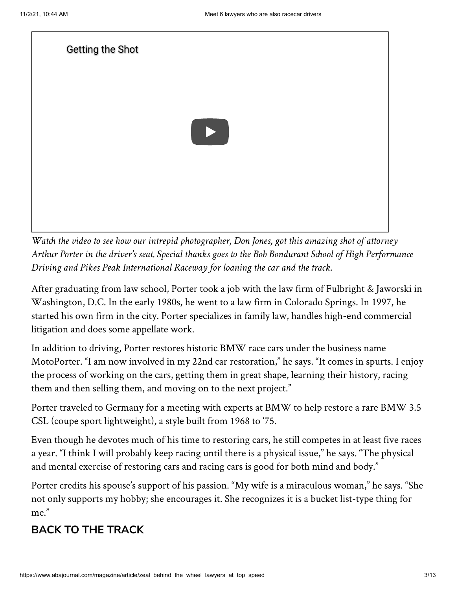[Getting the Shot](https://www.youtube.com/watch?v=a4hIV_vW4ic)



*Watch the video to see how our intrepid photographer, Don Jones, got this amazing shot of attorney Arthur Porter in the driver's seat. Special thanks goes to the Bob Bondurant School of High Performance Driving and Pikes Peak International Raceway for loaning the car and the track.*

After graduating from law school, Porter took a job with the law firm of Fulbright & Jaworski in Washington, D.C. In the early 1980s, he went to a law firm in Colorado Springs. In 1997, he started his own firm in the city. Porter specializes in family law, handles high-end commercial litigation and does some appellate work.

In addition to driving, Porter restores historic BMW race cars under the business name MotoPorter. "I am now involved in my 22nd car restoration," he says. "It comes in spurts. I enjoy the process of working on the cars, getting them in great shape, learning their history, racing them and then selling them, and moving on to the next project."

Porter traveled to Germany for a meeting with experts at BMW to help restore a rare BMW 3.5 CSL (coupe sport lightweight), a style built from 1968 to '75.

Even though he devotes much of his time to restoring cars, he still competes in at least five races a year. "I think I will probably keep racing until there is a physical issue," he says. "The physical and mental exercise of restoring cars and racing cars is good for both mind and body."

Porter credits his spouse's support of his passion. "My wife is a miraculous woman," he says. "She not only supports my hobby; she encourages it. She recognizes it is a bucket list-type thing for me."

# **BACK TO THE TRACK**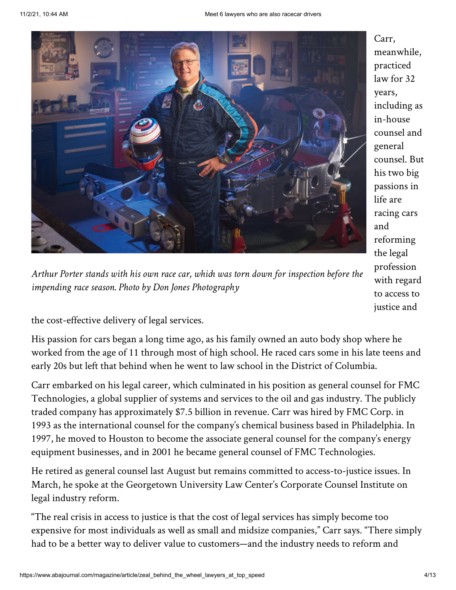

*Arthur Porter stands with his own race car, which was torn down for inspection before the impending race season. Photo by Don Jones Photography*

Carr, meanwhile, practiced law for 32 years, including as in-house counsel and general counsel. But his two big passions in life are racing cars and reforming the legal profession with regard to access to justice and

the cost-effective delivery of legal services.

His passion for cars began a long time ago, as his family owned an auto body shop where he worked from the age of 11 through most of high school. He raced cars some in his late teens and early 20s but left that behind when he went to law school in the District of Columbia.

Carr embarked on his legal career, which culminated in his position as general counsel for FMC Technologies, a global supplier of systems and services to the oil and gas industry. The publicly traded company has approximately \$7.5 billion in revenue. Carr was hired by FMC Corp. in 1993 as the international counsel for the company's chemical business based in Philadelphia. In 1997, he moved to Houston to become the associate general counsel for the company's energy equipment businesses, and in 2001 he became general counsel of FMC Technologies.

He retired as general counsel last August but remains committed to access-to-justice issues. In March, he spoke at the Georgetown University Law Center's Corporate Counsel Institute on legal industry reform.

"The real crisis in access to justice is that the cost of legal services has simply become too expensive for most individuals as well as small and midsize companies," Carr says. "There simply had to be a better way to deliver value to customers—and the industry needs to reform and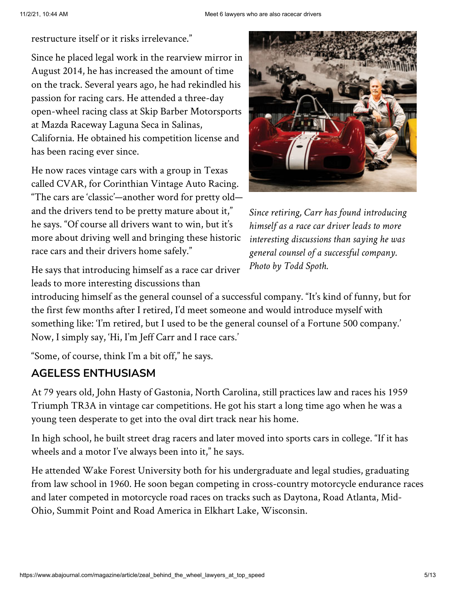restructure itself or it risks irrelevance."

Since he placed legal work in the rearview mirror in August 2014, he has increased the amount of time on the track. Several years ago, he had rekindled his passion for racing cars. He attended a three-day open-wheel racing class at Skip Barber Motorsports at Mazda Raceway Laguna Seca in Salinas, California. He obtained his competition license and has been racing ever since.

He now races vintage cars with a group in Texas called CVAR, for Corinthian Vintage Auto Racing. "The cars are 'classic'—another word for pretty old and the drivers tend to be pretty mature about it," he says. "Of course all drivers want to win, but it's more about driving well and bringing these historic race cars and their drivers home safely."



*Since retiring, Carr has found introducing himself as a race car driver leads to more interesting discussions than saying he was general counsel of a successful company. Photo by Todd Spoth.*

He says that introducing himself as a race car driver leads to more interesting discussions than

introducing himself as the general counsel of a successful company. "It's kind of funny, but for the first few months after I retired, I'd meet someone and would introduce myself with something like: 'I'm retired, but I used to be the general counsel of a Fortune 500 company.' Now, I simply say, 'Hi, I'm Jeff Carr and I race cars.'

"Some, of course, think I'm a bit off," he says.

### **AGELESS ENTHUSIASM**

At 79 years old, John Hasty of Gastonia, North Carolina, still practices law and races his 1959 Triumph TR3A in vintage car competitions. He got his start a long time ago when he was a young teen desperate to get into the oval dirt track near his home.

In high school, he built street drag racers and later moved into sports cars in college. "If it has wheels and a motor I've always been into it," he says.

He attended Wake Forest University both for his undergraduate and legal studies, graduating from law school in 1960. He soon began competing in cross-country motorcycle endurance races and later competed in motorcycle road races on tracks such as Daytona, Road Atlanta, Mid-Ohio, Summit Point and Road America in Elkhart Lake, Wisconsin.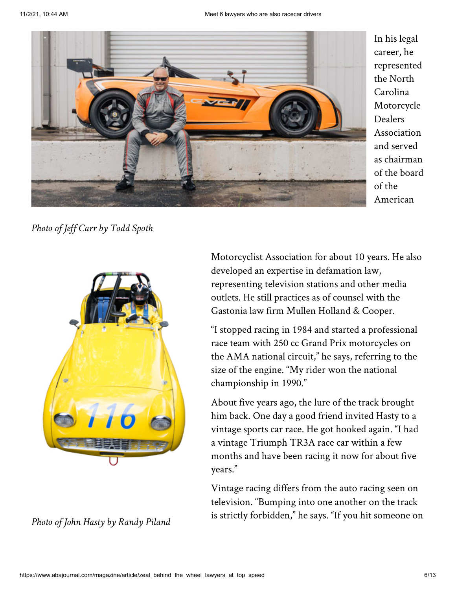

In his legal career, he represented the North Carolina Motorcycle Dealers Association and served as chairman of the board of the American

*Photo of Jeff Carr by Todd Spoth*



*Photo of John Hasty by Randy Piland*

Motorcyclist Association for about 10 years. He also developed an expertise in defamation law, representing television stations and other media outlets. He still practices as of counsel with the Gastonia law firm Mullen Holland & Cooper.

"I stopped racing in 1984 and started a professional race team with 250 cc Grand Prix motorcycles on the AMA national circuit," he says, referring to the size of the engine. "My rider won the national championship in 1990."

About five years ago, the lure of the track brought him back. One day a good friend invited Hasty to a vintage sports car race. He got hooked again. "I had a vintage Triumph TR3A race car within a few months and have been racing it now for about five years."

Vintage racing differs from the auto racing seen on television. "Bumping into one another on the track is strictly forbidden," he says. "If you hit someone on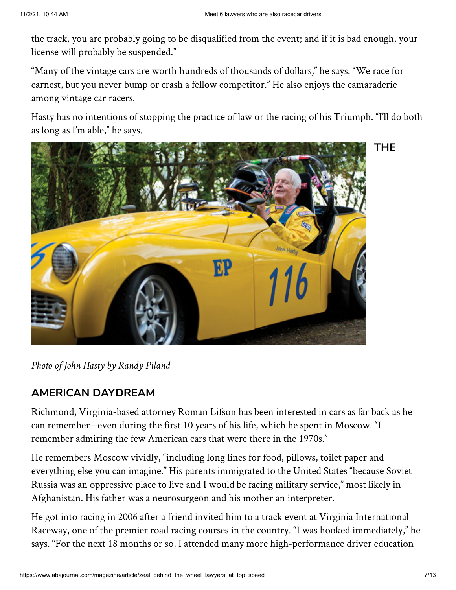the track, you are probably going to be disqualified from the event; and if it is bad enough, your license will probably be suspended."

"Many of the vintage cars are worth hundreds of thousands of dollars," he says. "We race for earnest, but you never bump or crash a fellow competitor." He also enjoys the camaraderie among vintage car racers.

Hasty has no intentions of stopping the practice of law or the racing of his Triumph. "I'll do both as long as I'm able," he says.



**THE**

*Photo of John Hasty by Randy Piland*

### **AMERICAN DAYDREAM**

Richmond, Virginia-based attorney Roman Lifson has been interested in cars as far back as he can remember—even during the first 10 years of his life, which he spent in Moscow. "I remember admiring the few American cars that were there in the 1970s."

He remembers Moscow vividly, "including long lines for food, pillows, toilet paper and everything else you can imagine." His parents immigrated to the United States "because Soviet Russia was an oppressive place to live and I would be facing military service," most likely in Afghanistan. His father was a neurosurgeon and his mother an interpreter.

He got into racing in 2006 after a friend invited him to a track event at Virginia International Raceway, one of the premier road racing courses in the country. "I was hooked immediately," he says. "For the next 18 months or so, I attended many more high-performance driver education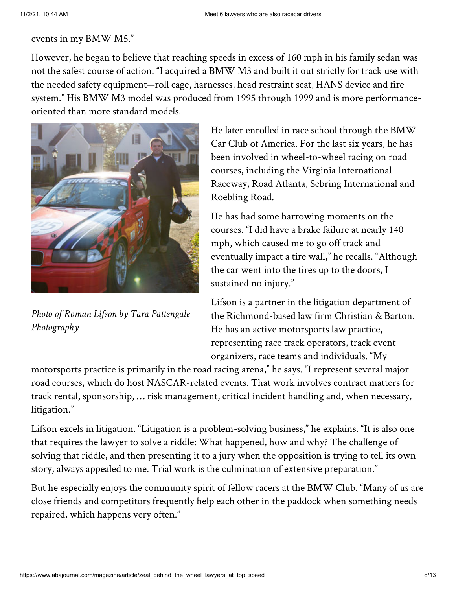#### events in my BMW M5."

However, he began to believe that reaching speeds in excess of 160 mph in his family sedan was not the safest course of action. "I acquired a BMW M3 and built it out strictly for track use with the needed safety equipment—roll cage, harnesses, head restraint seat, HANS device and fire system." His BMW M3 model was produced from 1995 through 1999 and is more performanceoriented than more standard models.



*Photo of Roman Lifson by Tara Pattengale Photography*

He later enrolled in race school through the BMW Car Club of America. For the last six years, he has been involved in wheel-to-wheel racing on road courses, including the Virginia International Raceway, Road Atlanta, Sebring International and Roebling Road.

He has had some harrowing moments on the courses. "I did have a brake failure at nearly 140 mph, which caused me to go off track and eventually impact a tire wall," he recalls. "Although the car went into the tires up to the doors, I sustained no injury."

Lifson is a partner in the litigation department of the Richmond-based law firm Christian & Barton. He has an active motorsports law practice, representing race track operators, track event organizers, race teams and individuals. "My

motorsports practice is primarily in the road racing arena," he says. "I represent several major road courses, which do host NASCAR-related events. That work involves contract matters for track rental, sponsorship, … risk management, critical incident handling and, when necessary, litigation."

Lifson excels in litigation. "Litigation is a problem-solving business," he explains. "It is also one that requires the lawyer to solve a riddle: What happened, how and why? The challenge of solving that riddle, and then presenting it to a jury when the opposition is trying to tell its own story, always appealed to me. Trial work is the culmination of extensive preparation."

But he especially enjoys the community spirit of fellow racers at the BMW Club. "Many of us are close friends and competitors frequently help each other in the paddock when something needs repaired, which happens very often."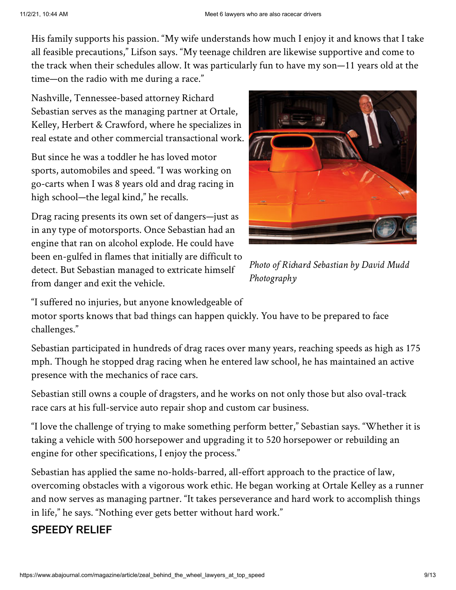His family supports his passion. "My wife understands how much I enjoy it and knows that I take all feasible precautions," Lifson says. "My teenage children are likewise supportive and come to the track when their schedules allow. It was particularly fun to have my son—11 years old at the time—on the radio with me during a race."

Nashville, Tennessee-based attorney Richard Sebastian serves as the managing partner at Ortale, Kelley, Herbert & Crawford, where he specializes in real estate and other commercial transactional work.

But since he was a toddler he has loved motor sports, automobiles and speed. "I was working on go-carts when I was 8 years old and drag racing in high school—the legal kind," he recalls.

Drag racing presents its own set of dangers—just as in any type of motorsports. Once Sebastian had an engine that ran on alcohol explode. He could have been en-gulfed in flames that initially are difficult to detect. But Sebastian managed to extricate himself from danger and exit the vehicle.



*Photo of Richard Sebastian by David Mudd Photography*

"I suffered no injuries, but anyone knowledgeable of

motor sports knows that bad things can happen quickly. You have to be prepared to face challenges."

Sebastian participated in hundreds of drag races over many years, reaching speeds as high as 175 mph. Though he stopped drag racing when he entered law school, he has maintained an active presence with the mechanics of race cars.

Sebastian still owns a couple of dragsters, and he works on not only those but also oval-track race cars at his full-service auto repair shop and custom car business.

"I love the challenge of trying to make something perform better," Sebastian says. "Whether it is taking a vehicle with 500 horsepower and upgrading it to 520 horsepower or rebuilding an engine for other specifications, I enjoy the process."

Sebastian has applied the same no-holds-barred, all-effort approach to the practice of law, overcoming obstacles with a vigorous work ethic. He began working at Ortale Kelley as a runner and now serves as managing partner. "It takes perseverance and hard work to accomplish things in life," he says. "Nothing ever gets better without hard work."

# **SPEEDY RELIEF**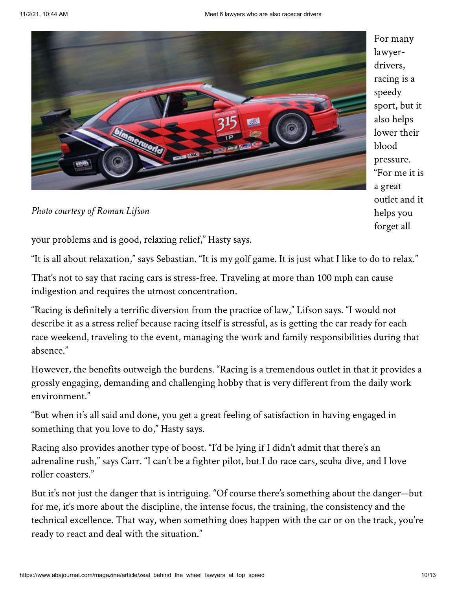

For many lawyerdrivers, racing is a speedy sport, but it also helps lower their blood pressure. "For me it is a great outlet and it helps you forget all

*Photo courtesy of Roman Lifson*

your problems and is good, relaxing relief," Hasty says.

"It is all about relaxation," says Sebastian. "It is my golf game. It is just what I like to do to relax."

That's not to say that racing cars is stress-free. Traveling at more than 100 mph can cause indigestion and requires the utmost concentration.

"Racing is definitely a terrific diversion from the practice of law," Lifson says. "I would not describe it as a stress relief because racing itself is stressful, as is getting the car ready for each race weekend, traveling to the event, managing the work and family responsibilities during that absence."

However, the benefits outweigh the burdens. "Racing is a tremendous outlet in that it provides a grossly engaging, demanding and challenging hobby that is very different from the daily work environment."

"But when it's all said and done, you get a great feeling of satisfaction in having engaged in something that you love to do," Hasty says.

Racing also provides another type of boost. "I'd be lying if I didn't admit that there's an adrenaline rush," says Carr. "I can't be a fighter pilot, but I do race cars, scuba dive, and I love roller coasters."

But it's not just the danger that is intriguing. "Of course there's something about the danger—but for me, it's more about the discipline, the intense focus, the training, the consistency and the technical excellence. That way, when something does happen with the car or on the track, you're ready to react and deal with the situation."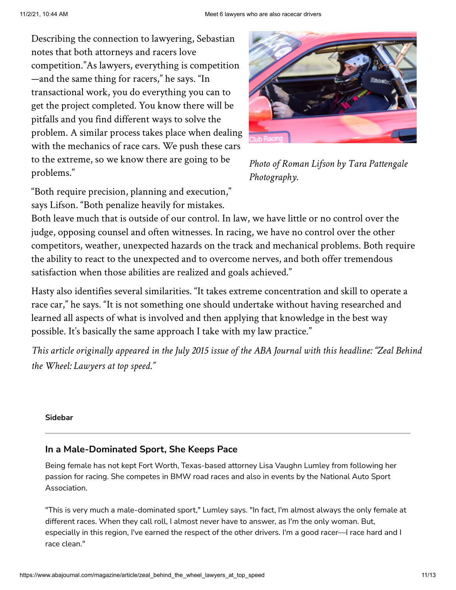Describing the connection to lawyering, Sebastian notes that both attorneys and racers love competition."As lawyers, everything is competition —and the same thing for racers," he says. "In transactional work, you do everything you can to get the project completed. You know there will be pitfalls and you find different ways to solve the problem. A similar process takes place when dealing with the mechanics of race cars. We push these cars to the extreme, so we know there are going to be problems."



*Photo of Roman Lifson by Tara Pattengale Photography.*

"Both require precision, planning and execution," says Lifson. "Both penalize heavily for mistakes.

Both leave much that is outside of our control. In law, we have little or no control over the judge, opposing counsel and often witnesses. In racing, we have no control over the other competitors, weather, unexpected hazards on the track and mechanical problems. Both require the ability to react to the unexpected and to overcome nerves, and both offer tremendous satisfaction when those abilities are realized and goals achieved."

Hasty also identifies several similarities. "It takes extreme concentration and skill to operate a race car," he says. "It is not something one should undertake without having researched and learned all aspects of what is involved and then applying that knowledge in the best way possible. It's basically the same approach I take with my law practice."

This article originally appeared in the July 2015 issue of the ABA Journal with this headline: "Zeal Behind *the Wheel: Lawyers at top speed."*

#### **Sidebar**

#### **In a Male-Dominated Sport, She Keeps Pace**

Being female has not kept Fort Worth, Texas-based attorney Lisa Vaughn Lumley from following her passion for racing. She competes in BMW road races and also in events by the National Auto Sport Association.

"This is very much a male-dominated sport," Lumley says. "In fact, I'm almost always the only female at different races. When they call roll, I almost never have to answer, as I'm the only woman. But, especially in this region, I've earned the respect of the other drivers. I'm a good racer—I race hard and I race clean."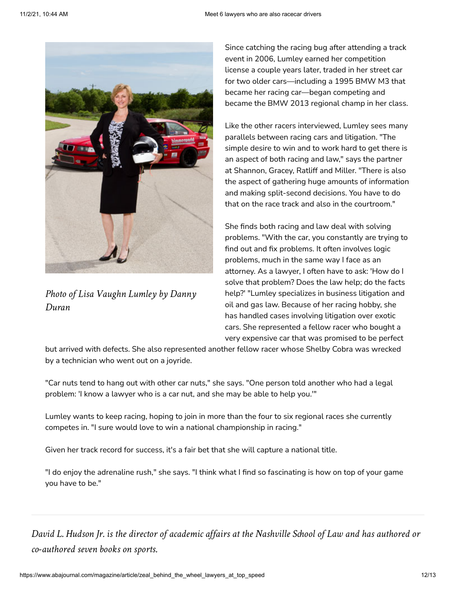

*Photo of Lisa Vaughn Lumley by Danny Duran*

Since catching the racing bug after attending a track event in 2006, Lumley earned her competition license a couple years later, traded in her street car for two older cars—including a 1995 BMW M3 that became her racing car—began competing and became the BMW 2013 regional champ in her class.

Like the other racers interviewed, Lumley sees many parallels between racing cars and litigation. "The simple desire to win and to work hard to get there is an aspect of both racing and law," says the partner at Shannon, Gracey, Ratliff and Miller. "There is also the aspect of gathering huge amounts of information and making split-second decisions. You have to do that on the race track and also in the courtroom."

She finds both racing and law deal with solving problems. "With the car, you constantly are trying to find out and fix problems. It often involves logic problems, much in the same way I face as an attorney. As a lawyer, I often have to ask: 'How do I solve that problem? Does the law help; do the facts help?' "Lumley specializes in business litigation and oil and gas law. Because of her racing hobby, she has handled cases involving litigation over exotic cars. She represented a fellow racer who bought a very expensive car that was promised to be perfect

but arrived with defects. She also represented another fellow racer whose Shelby Cobra was wrecked by a technician who went out on a joyride.

"Car nuts tend to hang out with other car nuts," she says. "One person told another who had a legal problem: 'I know a lawyer who is a car nut, and she may be able to help you.'"

Lumley wants to keep racing, hoping to join in more than the four to six regional races she currently competes in. "I sure would love to win a national championship in racing."

Given her track record for success, it's a fair bet that she will capture a national title.

"I do enjoy the adrenaline rush," she says. "I think what I find so fascinating is how on top of your game you have to be."

David L. Hudson Jr. is the director of academic affairs at the Nashville School of Law and has authored or *co-authored seven books on sports.*